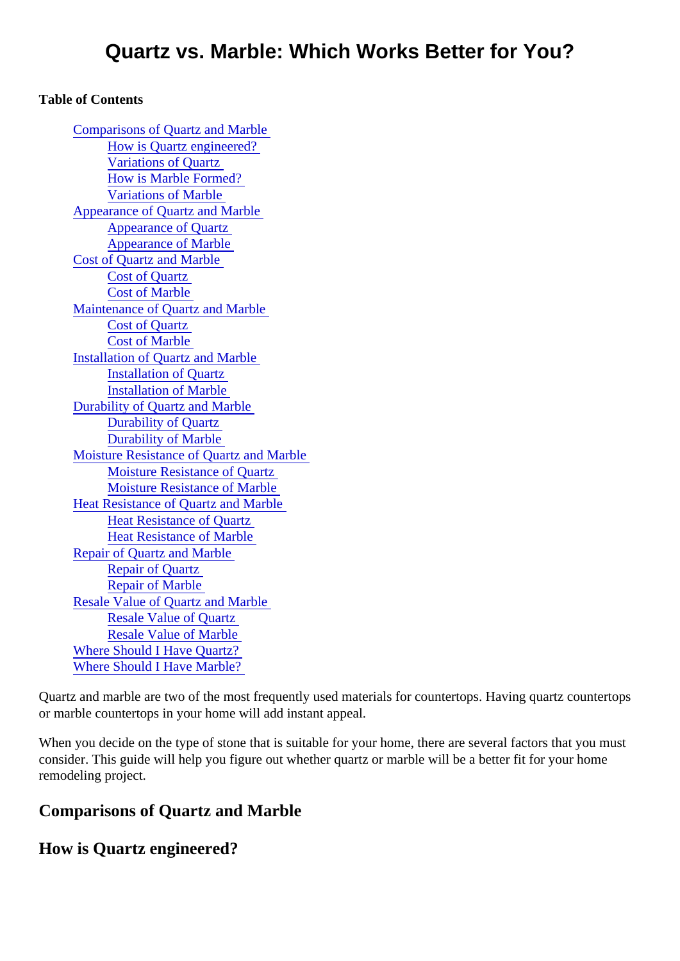#### Table of Contents

Comparisons of Quartz and Marble How is Quartz engineered? Variations of Quartz How is Marble Formed? Variations of Marble Appearance of Quartz and Marble Appearance of Quartz Appearance of Marble Cost of Quartz and Marble Cost of Quartz Cost of Marble Maintenance of Quartz and Marble Cost of Quartz Cost of Marble [Installation of Quartz and Marb](#page-2-0)le Installation of Quartz Installation of Marble Durability of Quartz and Marble Durability of Quartz Durability of Marble [Moisture Resistance of Quartz and Mar](#page-2-0)ble Moisture Resistance of Quartz Moisture Resistance of Marble [Heat Resistance of Quartz and Mar](#page-2-0)ble Heat Resistance of Quartz Heat Resistance of Marble [Repair of Quartz and Marb](#page-3-0)le Repair of Quartz Repair of Marble [Resale Value of Quartz and Marb](#page-3-0)le Resale Value of Quartz Resale Value of Marble [Where Should I Have Quartz](#page-3-0)? [Where Should I Have Marble](#page-3-0)?

Quartz and marble are two of the most frequently used materials for countertops. Having quartz counterto or marble countertops in your home will add instant appeal.

When you decide on the type of stone that is suitable for your home, there are several factors that you mu consider. This guide will help you figure out whether quartz or marble will be a better fit for your home remodeling project.

Comparisons of Quartz and Marble

How is Quartz engineered?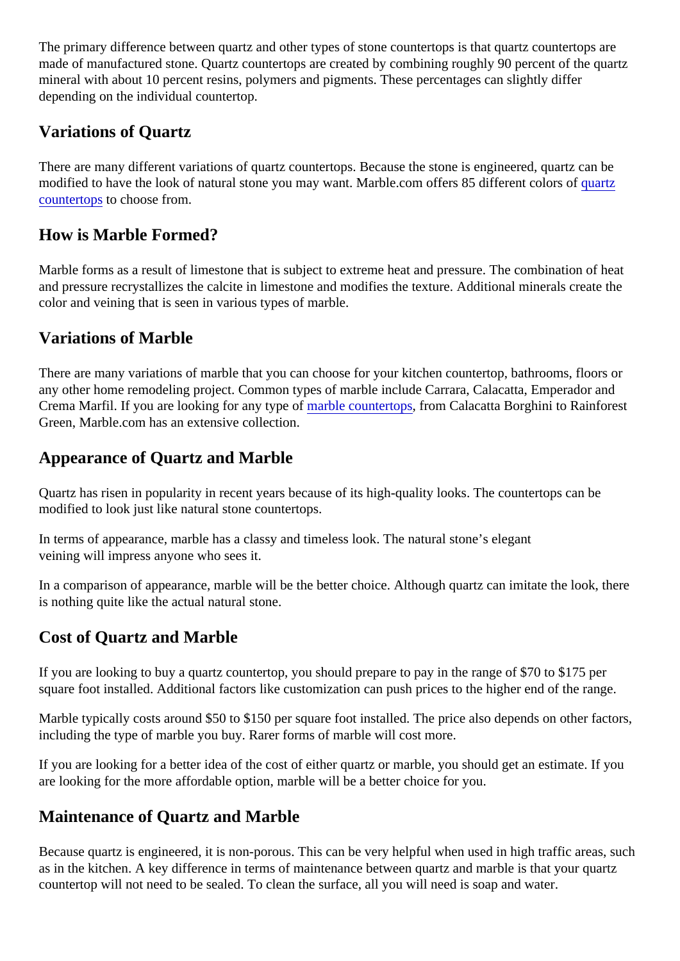The primary difference between quartz and other types of stone countertops is that quartz countertops are made of manufactured stone. Quartz countertops are created by combining roughly 90 percent of the quart mineral with about 10 percent resins, polymers and pigments. These percentages can slightly differ depending on the individual countertop.

#### Variations of Quartz

There are many different variations of quartz countertops. Because the stone is engineered, quartz can be modified to have the look of natural stone you may want. Marble.com offers 85 different colorest af [countertop](https://marble.com/quartz-countertops)s to choose from.

#### How is Marble Formed?

Marble forms as a result of limestone that is subject to extreme heat and pressure. The combination of heat and pressure recrystallizes the calcite in limestone and modifies the texture. Additional minerals create the color and veining that is seen in various types of marble.

#### Variations of Marble

There are many variations of marble that you can choose for your kitchen countertop, bathrooms, floors or any other home remodeling project. Common types of marble include Carrara, Calacatta, Emperador and Crema Marfil. If you are looking for any type **of** arbie countertops from Calacatta Borghini to Rainforest Green, Marble.com has an extensive collection.

### Appearance of Quartz and Marble

Quartz has risen in popularity in recent years because of its high-quality looks. The countertops can be modified to look just like natural stone countertops.

In terms of appearance, marble has a classy and timeless look. The natural stone's elegant veining will impress anyone who sees it.

In a comparison of appearance, marble will be the better choice. Although quartz can imitate the look, there is nothing quite like the actual natural stone.

## Cost of Quartz and Marble

If you are looking to buy a quartz countertop, you should prepare to pay in the range of \$70 to \$175 per square foot installed. Additional factors like customization can push prices to the higher end of the range.

Marble typically costs around \$50 to \$150 per square foot installed. The price also depends on other facto including the type of marble you buy. Rarer forms of marble will cost more.

If you are looking for a better idea of the cost of either quartz or marble, you should get an estimate. If you are looking for the more affordable option, marble will be a better choice for you.

#### Maintenance of Quartz and Marble

Because quartz is engineered, it is non-porous. This can be very helpful when used in high traffic areas, s as in the kitchen. A key difference in terms of maintenance between quartz and marble is that your quartz countertop will not need to be sealed. To clean the surface, all you will need is soap and water.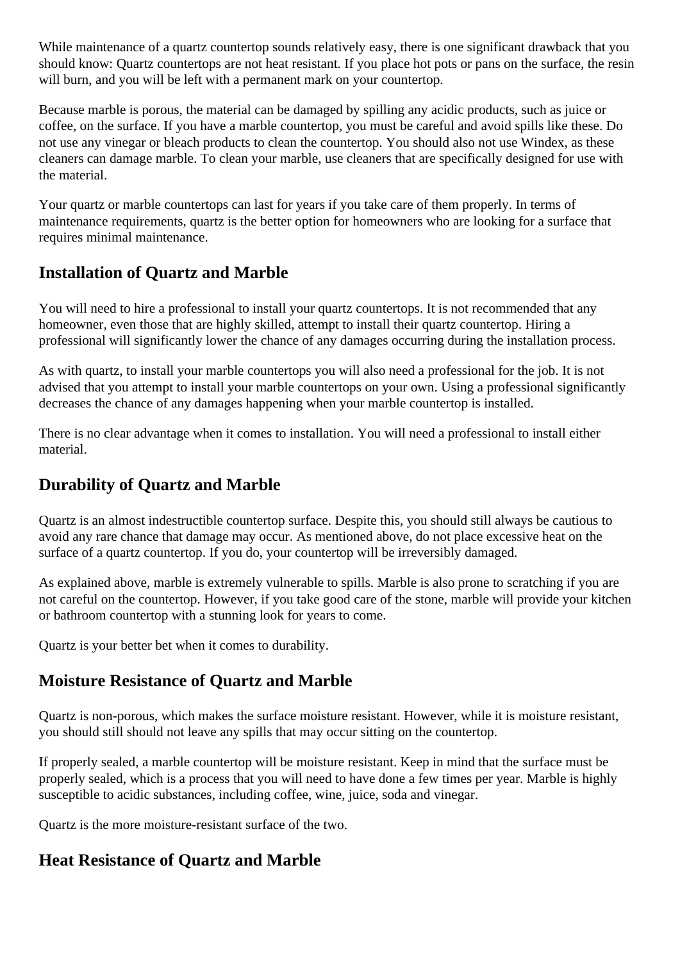<span id="page-2-0"></span>While maintenance of a quartz countertop sounds relatively easy, there is one significant drawback that you should know: Quartz countertops are not heat resistant. If you place hot pots or pans on the surface, the resin will burn, and you will be left with a permanent mark on your countertop.

Because marble is porous, the material can be damaged by spilling any acidic products, such as juice or coffee, on the surface. If you have a marble countertop, you must be careful and avoid spills like these. Do not use any vinegar or bleach products to clean the countertop. You should also not use Windex, as these cleaners can damage marble. To clean your marble, use cleaners that are specifically designed for use with the material.

Your quartz or marble countertops can last for years if you take care of them properly. In terms of maintenance requirements, quartz is the better option for homeowners who are looking for a surface that requires minimal maintenance.

### **Installation of Quartz and Marble**

You will need to hire a professional to install your quartz countertops. It is not recommended that any homeowner, even those that are highly skilled, attempt to install their quartz countertop. Hiring a professional will significantly lower the chance of any damages occurring during the installation process.

As with quartz, to install your marble countertops you will also need a professional for the job. It is not advised that you attempt to install your marble countertops on your own. Using a professional significantly decreases the chance of any damages happening when your marble countertop is installed.

There is no clear advantage when it comes to installation. You will need a professional to install either material.

# **Durability of Quartz and Marble**

Quartz is an almost indestructible countertop surface. Despite this, you should still always be cautious to avoid any rare chance that damage may occur. As mentioned above, do not place excessive heat on the surface of a quartz countertop. If you do, your countertop will be irreversibly damaged.

As explained above, marble is extremely vulnerable to spills. Marble is also prone to scratching if you are not careful on the countertop. However, if you take good care of the stone, marble will provide your kitchen or bathroom countertop with a stunning look for years to come.

Quartz is your better bet when it comes to durability.

## **Moisture Resistance of Quartz and Marble**

Quartz is non-porous, which makes the surface moisture resistant. However, while it is moisture resistant, you should still should not leave any spills that may occur sitting on the countertop.

If properly sealed, a marble countertop will be moisture resistant. Keep in mind that the surface must be properly sealed, which is a process that you will need to have done a few times per year. Marble is highly susceptible to acidic substances, including coffee, wine, juice, soda and vinegar.

Quartz is the more moisture-resistant surface of the two.

#### **Heat Resistance of Quartz and Marble**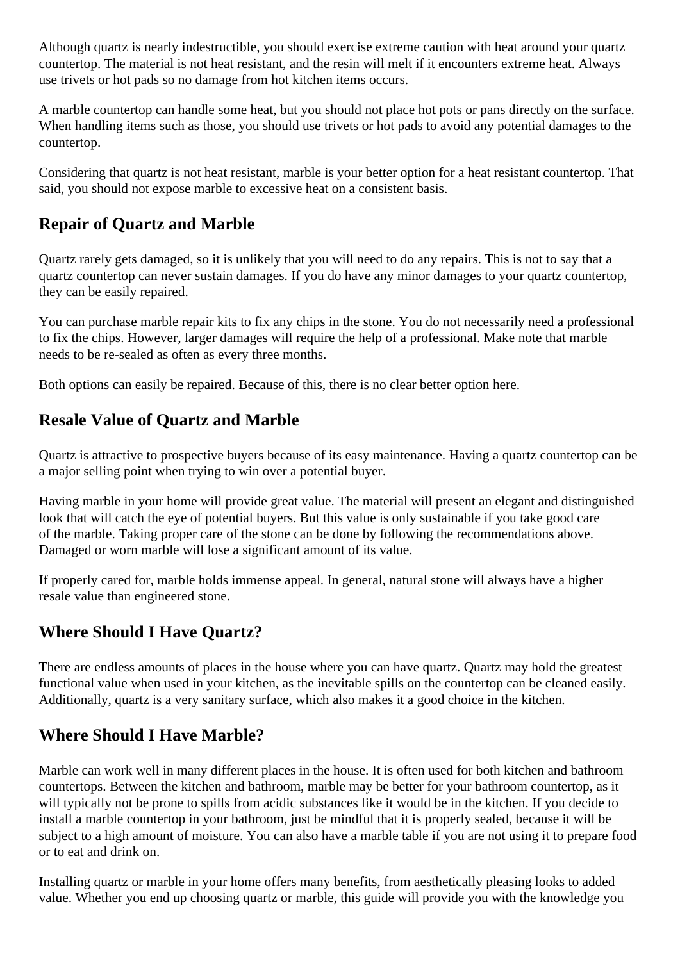<span id="page-3-0"></span>Although quartz is nearly indestructible, you should exercise extreme caution with heat around your quartz countertop. The material is not heat resistant, and the resin will melt if it encounters extreme heat. Always use trivets or hot pads so no damage from hot kitchen items occurs.

A marble countertop can handle some heat, but you should not place hot pots or pans directly on the surface. When handling items such as those, you should use trivets or hot pads to avoid any potential damages to the countertop.

Considering that quartz is not heat resistant, marble is your better option for a heat resistant countertop. That said, you should not expose marble to excessive heat on a consistent basis.

# **Repair of Quartz and Marble**

Quartz rarely gets damaged, so it is unlikely that you will need to do any repairs. This is not to say that a quartz countertop can never sustain damages. If you do have any minor damages to your quartz countertop, they can be easily repaired.

You can purchase marble repair kits to fix any chips in the stone. You do not necessarily need a professional to fix the chips. However, larger damages will require the help of a professional. Make note that marble needs to be re-sealed as often as every three months.

Both options can easily be repaired. Because of this, there is no clear better option here.

# **Resale Value of Quartz and Marble**

Quartz is attractive to prospective buyers because of its easy maintenance. Having a quartz countertop can be a major selling point when trying to win over a potential buyer.

Having marble in your home will provide great value. The material will present an elegant and distinguished look that will catch the eye of potential buyers. But this value is only sustainable if you take good care of the marble. Taking proper care of the stone can be done by following the recommendations above. Damaged or worn marble will lose a significant amount of its value.

If properly cared for, marble holds immense appeal. In general, natural stone will always have a higher resale value than engineered stone.

## **Where Should I Have Quartz?**

There are endless amounts of places in the house where you can have quartz. Quartz may hold the greatest functional value when used in your kitchen, as the inevitable spills on the countertop can be cleaned easily. Additionally, quartz is a very sanitary surface, which also makes it a good choice in the kitchen.

## **Where Should I Have Marble?**

Marble can work well in many different places in the house. It is often used for both kitchen and bathroom countertops. Between the kitchen and bathroom, marble may be better for your bathroom countertop, as it will typically not be prone to spills from acidic substances like it would be in the kitchen. If you decide to install a marble countertop in your bathroom, just be mindful that it is properly sealed, because it will be subject to a high amount of moisture. You can also have a marble table if you are not using it to prepare food or to eat and drink on.

Installing quartz or marble in your home offers many benefits, from aesthetically pleasing looks to added value. Whether you end up choosing quartz or marble, this guide will provide you with the knowledge you